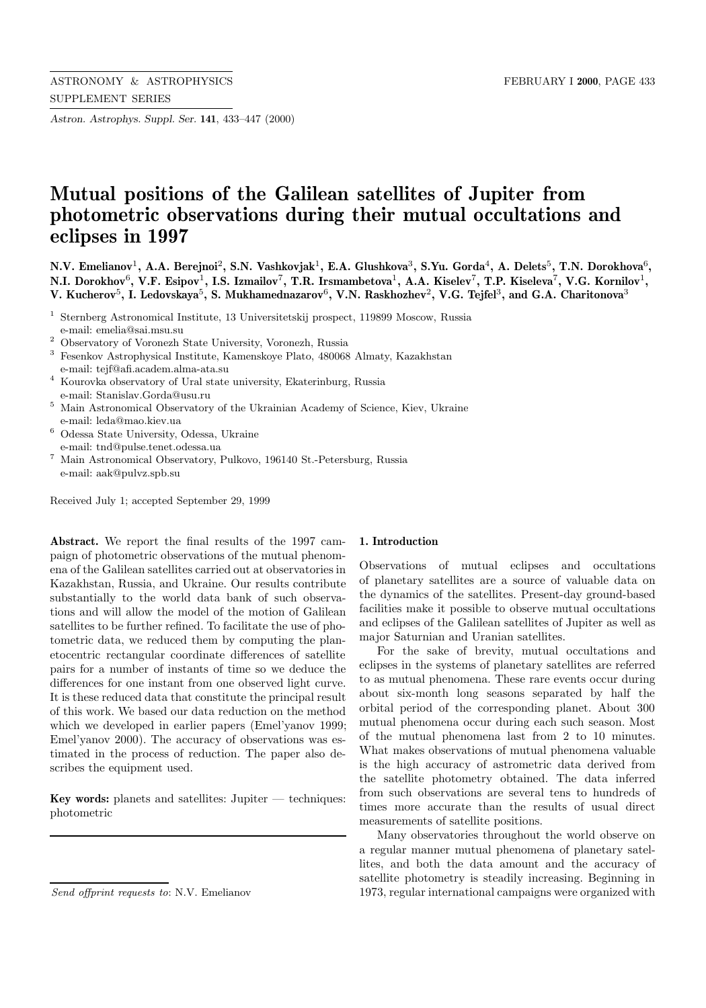*Astron. Astrophys. Suppl. Ser.* **141**, 433–447 (2000)

# **Mutual positions of the Galilean satellites of Jupiter from photometric observations during their mutual occultations and eclipses in 1997**

**N.V. Emelianov**<sup>1</sup>**, A.A. Berejnoi**<sup>2</sup>**, S.N. Vashkovjak**<sup>1</sup>**, E.A. Glushkova**<sup>3</sup>**, S.Yu. Gorda**<sup>4</sup>**, A. Delets**<sup>5</sup>**, T.N. Dorokhova**<sup>6</sup>**, N.I. Dorokhov**<sup>6</sup>**, V.F. Esipov**<sup>1</sup>**, I.S. Izmailov**<sup>7</sup>**, T.R. Irsmambetova**<sup>1</sup>**, A.A. Kiselev**<sup>7</sup>**, T.P. Kiseleva**<sup>7</sup>**, V.G. Kornilov**<sup>1</sup>**, V. Kucherov**<sup>5</sup>**, I. Ledovskaya**<sup>5</sup>**, S. Mukhamednazarov**<sup>6</sup>**, V.N. Raskhozhev**<sup>2</sup>**, V.G. Tejfel**<sup>3</sup>**, and G.A. Charitonova**<sup>3</sup>

- <sup>1</sup> Sternberg Astronomical Institute, 13 Universitetskij prospect, 119899 Moscow, Russia e-mail: emelia@sai.msu.su
- <sup>2</sup> Observatory of Voronezh State University, Voronezh, Russia
- <sup>3</sup> Fesenkov Astrophysical Institute, Kamenskoye Plato, 480068 Almaty, Kazakhstan e-mail: tejf@afi.academ.alma-ata.su
- $^4\,$ Kourovka observatory of Ural state university, Ekaterinburg, Russia e-mail: Stanislav.Gorda@usu.ru
- <sup>5</sup> Main Astronomical Observatory of the Ukrainian Academy of Science, Kiev, Ukraine e-mail: leda@mao.kiev.ua
- $^6\,$  Odessa State University, Odessa, Ukraine e-mail: tnd@pulse.tenet.odessa.ua
- <sup>7</sup> Main Astronomical Observatory, Pulkovo, 196140 St.-Petersburg, Russia e-mail: aak@pulvz.spb.su

Received July 1; accepted September 29, 1999

**Abstract.** We report the final results of the 1997 campaign of photometric observations of the mutual phenomena of the Galilean satellites carried out at observatories in Kazakhstan, Russia, and Ukraine. Our results contribute substantially to the world data bank of such observations and will allow the model of the motion of Galilean satellites to be further refined. To facilitate the use of photometric data, we reduced them by computing the planetocentric rectangular coordinate differences of satellite pairs for a number of instants of time so we deduce the differences for one instant from one observed light curve. It is these reduced data that constitute the principal result of this work. We based our data reduction on the method which we developed in earlier papers (Emel'yanov 1999; Emel'yanov 2000). The accuracy of observations was estimated in the process of reduction. The paper also describes the equipment used.

**Key words:** planets and satellites: Jupiter — techniques: photometric

## **1. Introduction**

Observations of mutual eclipses and occultations of planetary satellites are a source of valuable data on the dynamics of the satellites. Present-day ground-based facilities make it possible to observe mutual occultations and eclipses of the Galilean satellites of Jupiter as well as major Saturnian and Uranian satellites.

For the sake of brevity, mutual occultations and eclipses in the systems of planetary satellites are referred to as mutual phenomena. These rare events occur during about six-month long seasons separated by half the orbital period of the corresponding planet. About 300 mutual phenomena occur during each such season. Most of the mutual phenomena last from 2 to 10 minutes. What makes observations of mutual phenomena valuable is the high accuracy of astrometric data derived from the satellite photometry obtained. The data inferred from such observations are several tens to hundreds of times more accurate than the results of usual direct measurements of satellite positions.

Many observatories throughout the world observe on a regular manner mutual phenomena of planetary satellites, and both the data amount and the accuracy of satellite photometry is steadily increasing. Beginning in 1973, regular international campaigns were organized with

Send offprint requests to: N.V. Emelianov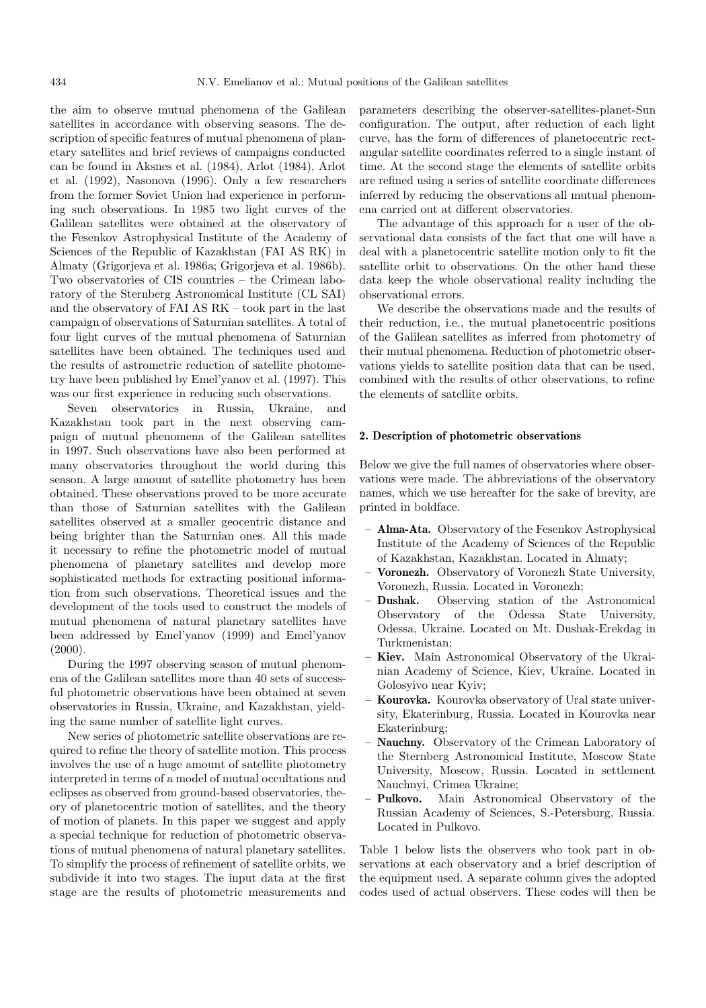the aim to observe mutual phenomena of the Galilean satellites in accordance with observing seasons. The description of specific features of mutual phenomena of planetary satellites and brief reviews of campaigns conducted can be found in Aksnes et al. (1984), Arlot (1984), Arlot et al. (1992), Nasonova (1996). Only a few researchers from the former Soviet Union had experience in performing such observations. In 1985 two light curves of the Galilean satellites were obtained at the observatory of the Fesenkov Astrophysical Institute of the Academy of Sciences of the Republic of Kazakhstan (FAI AS RK) in Almaty (Grigorjeva et al. 1986a; Grigorjeva et al. 1986b). Two observatories of CIS countries – the Crimean laboratory of the Sternberg Astronomical Institute (CL SAI) and the observatory of FAI AS RK – took part in the last campaign of observations of Saturnian satellites. A total of four light curves of the mutual phenomena of Saturnian satellites have been obtained. The techniques used and the results of astrometric reduction of satellite photometry have been published by Emel'yanov et al. (1997). This was our first experience in reducing such observations.

Seven observatories in Russia, Ukraine, and Kazakhstan took part in the next observing campaign of mutual phenomena of the Galilean satellites in 1997. Such observations have also been performed at many observatories throughout the world during this season. A large amount of satellite photometry has been obtained. These observations proved to be more accurate than those of Saturnian satellites with the Galilean satellites observed at a smaller geocentric distance and being brighter than the Saturnian ones. All this made it necessary to refine the photometric model of mutual phenomena of planetary satellites and develop more sophisticated methods for extracting positional information from such observations. Theoretical issues and the development of the tools used to construct the models of mutual phenomena of natural planetary satellites have been addressed by Emel'yanov (1999) and Emel'yanov (2000).

During the 1997 observing season of mutual phenomena of the Galilean satellites more than 40 sets of successful photometric observations have been obtained at seven observatories in Russia, Ukraine, and Kazakhstan, yielding the same number of satellite light curves.

New series of photometric satellite observations are required to refine the theory of satellite motion. This process involves the use of a huge amount of satellite photometry interpreted in terms of a model of mutual occultations and eclipses as observed from ground-based observatories, theory of planetocentric motion of satellites, and the theory of motion of planets. In this paper we suggest and apply a special technique for reduction of photometric observations of mutual phenomena of natural planetary satellites. To simplify the process of refinement of satellite orbits, we subdivide it into two stages. The input data at the first stage are the results of photometric measurements and

parameters describing the observer-satellites-planet-Sun configuration. The output, after reduction of each light curve, has the form of differences of planetocentric rectangular satellite coordinates referred to a single instant of time. At the second stage the elements of satellite orbits are refined using a series of satellite coordinate differences inferred by reducing the observations all mutual phenomena carried out at different observatories.

The advantage of this approach for a user of the observational data consists of the fact that one will have a deal with a planetocentric satellite motion only to fit the satellite orbit to observations. On the other hand these data keep the whole observational reality including the observational errors.

We describe the observations made and the results of their reduction, i.e., the mutual planetocentric positions of the Galilean satellites as inferred from photometry of their mutual phenomena. Reduction of photometric observations yields to satellite position data that can be used, combined with the results of other observations, to refine the elements of satellite orbits.

#### **2. Description of photometric observations**

Below we give the full names of observatories where observations were made. The abbreviations of the observatory names, which we use hereafter for the sake of brevity, are printed in boldface.

- **Alma-Ata.** Observatory of the Fesenkov Astrophysical Institute of the Academy of Sciences of the Republic of Kazakhstan, Kazakhstan. Located in Almaty;
- **Voronezh.** Observatory of Voronezh State University, Voronezh, Russia. Located in Voronezh;
- **Dushak.** Observing station of the Astronomical Observatory of the Odessa State University, Odessa, Ukraine. Located on Mt. Dushak-Erekdag in Turkmenistan;
- **Kiev.** Main Astronomical Observatory of the Ukrainian Academy of Science, Kiev, Ukraine. Located in Golosyivo near Kyiv;
- **Kourovka.** Kourovka observatory of Ural state university, Ekaterinburg, Russia. Located in Kourovka near Ekaterinburg;
- **Nauchny.** Observatory of the Crimean Laboratory of the Sternberg Astronomical Institute, Moscow State University, Moscow, Russia. Located in settlement Nauchnyi, Crimea Ukraine;
- **Pulkovo.** Main Astronomical Observatory of the Russian Academy of Sciences, S.-Petersburg, Russia. Located in Pulkovo.

Table 1 below lists the observers who took part in observations at each observatory and a brief description of the equipment used. A separate column gives the adopted codes used of actual observers. These codes will then be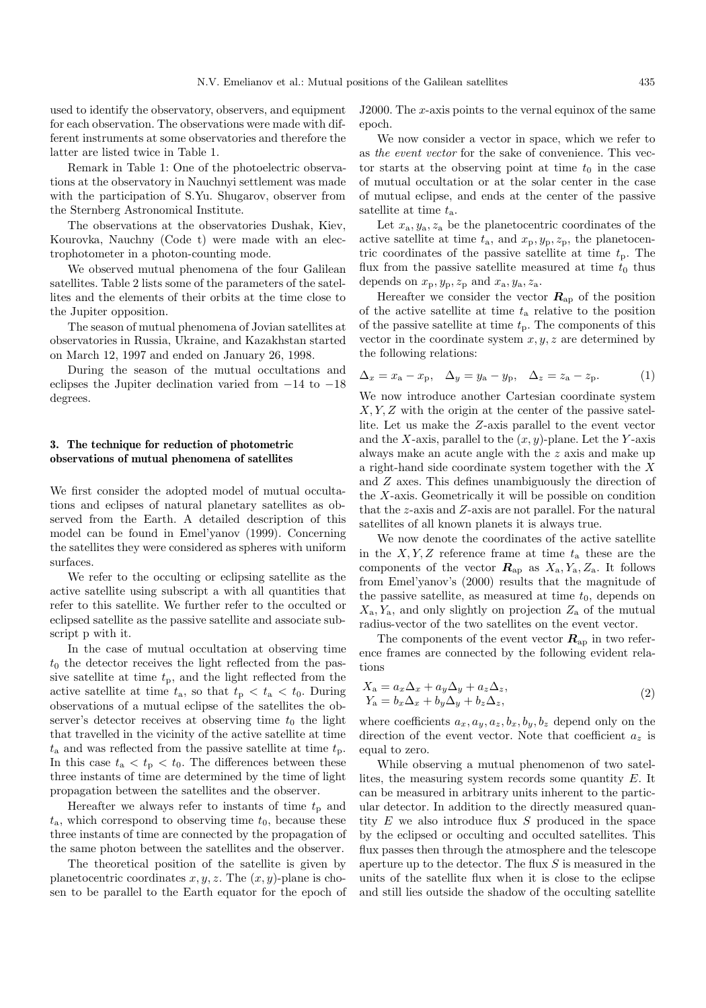used to identify the observatory, observers, and equipment for each observation. The observations were made with different instruments at some observatories and therefore the latter are listed twice in Table 1.

Remark in Table 1: One of the photoelectric observations at the observatory in Nauchnyi settlement was made with the participation of S.Yu. Shugarov, observer from the Sternberg Astronomical Institute.

The observations at the observatories Dushak, Kiev, Kourovka, Nauchny (Code t) were made with an electrophotometer in a photon-counting mode.

We observed mutual phenomena of the four Galilean satellites. Table 2 lists some of the parameters of the satellites and the elements of their orbits at the time close to the Jupiter opposition.

The season of mutual phenomena of Jovian satellites at observatories in Russia, Ukraine, and Kazakhstan started on March 12, 1997 and ended on January 26, 1998.

During the season of the mutual occultations and eclipses the Jupiter declination varied from −14 to −18 degrees.

# **3. The technique for reduction of photometric observations of mutual phenomena of satellites**

We first consider the adopted model of mutual occultations and eclipses of natural planetary satellites as observed from the Earth. A detailed description of this model can be found in Emel'yanov (1999). Concerning the satellites they were considered as spheres with uniform surfaces.

We refer to the occulting or eclipsing satellite as the active satellite using subscript a with all quantities that refer to this satellite. We further refer to the occulted or eclipsed satellite as the passive satellite and associate subscript p with it.

In the case of mutual occultation at observing time  $t_0$  the detector receives the light reflected from the passive satellite at time  $t_p$ , and the light reflected from the active satellite at time  $t_{\rm a}$ , so that  $t_{\rm p} < t_{\rm a} < t_{\rm 0}$ . During observations of a mutual eclipse of the satellites the observer's detector receives at observing time  $t_0$  the light that travelled in the vicinity of the active satellite at time  $t_a$  and was reflected from the passive satellite at time  $t_p$ . In this case  $t_a < t_p < t_0$ . The differences between these three instants of time are determined by the time of light propagation between the satellites and the observer.

Hereafter we always refer to instants of time  $t_p$  and  $t_{\rm a}$ , which correspond to observing time  $t_0$ , because these three instants of time are connected by the propagation of the same photon between the satellites and the observer.

The theoretical position of the satellite is given by planetocentric coordinates  $x, y, z$ . The  $(x, y)$ -plane is chosen to be parallel to the Earth equator for the epoch of J2000. The x-axis points to the vernal equinox of the same epoch.

We now consider a vector in space, which we refer to as the event vector for the sake of convenience. This vector starts at the observing point at time  $t_0$  in the case of mutual occultation or at the solar center in the case of mutual eclipse, and ends at the center of the passive satellite at time  $t_a$ .

Let  $x_a, y_a, z_a$  be the planetocentric coordinates of the active satellite at time  $t_a$ , and  $x_p, y_p, z_p$ , the planetocentric coordinates of the passive satellite at time  $t_p$ . The flux from the passive satellite measured at time  $t_0$  thus depends on  $x_\mathrm{p}, y_\mathrm{p}, z_\mathrm{p}$  and  $x_\mathrm{a}, y_\mathrm{a}, z_\mathrm{a}.$ 

Hereafter we consider the vector  $R_{ap}$  of the position of the active satellite at time  $t_a$  relative to the position of the passive satellite at time  $t_p$ . The components of this vector in the coordinate system  $x, y, z$  are determined by the following relations:

$$
\Delta_x = x_a - x_p, \quad \Delta_y = y_a - y_p, \quad \Delta_z = z_a - z_p. \tag{1}
$$

We now introduce another Cartesian coordinate system X, Y, Z with the origin at the center of the passive satellite. Let us make the Z-axis parallel to the event vector and the X-axis, parallel to the  $(x, y)$ -plane. Let the Y-axis always make an acute angle with the z axis and make up a right-hand side coordinate system together with the X and Z axes. This defines unambiguously the direction of the X-axis. Geometrically it will be possible on condition that the z-axis and Z-axis are not parallel. For the natural satellites of all known planets it is always true.

We now denote the coordinates of the active satellite in the  $X, Y, Z$  reference frame at time  $t_a$  these are the components of the vector  $\mathbf{R}_{ap}$  as  $X_a, Y_a, Z_a$ . It follows from Emel'yanov's (2000) results that the magnitude of the passive satellite, as measured at time  $t_0$ , depends on  $X_{\rm a}$ ,  $Y_{\rm a}$ , and only slightly on projection  $Z_{\rm a}$  of the mutual radius-vector of the two satellites on the event vector.

The components of the event vector  $R_{ap}$  in two reference frames are connected by the following evident relations

$$
X_{\mathbf{a}} = a_x \Delta_x + a_y \Delta_y + a_z \Delta_z,
$$
  
\n
$$
Y_{\mathbf{a}} = b_x \Delta_x + b_y \Delta_y + b_z \Delta_z,
$$
\n(2)

where coefficients  $a_x, a_y, a_z, b_x, b_y, b_z$  depend only on the direction of the event vector. Note that coefficient  $a_z$  is equal to zero.

While observing a mutual phenomenon of two satellites, the measuring system records some quantity E. It can be measured in arbitrary units inherent to the particular detector. In addition to the directly measured quantity  $E$  we also introduce flux  $S$  produced in the space by the eclipsed or occulting and occulted satellites. This flux passes then through the atmosphere and the telescope aperture up to the detector. The flux  $S$  is measured in the units of the satellite flux when it is close to the eclipse and still lies outside the shadow of the occulting satellite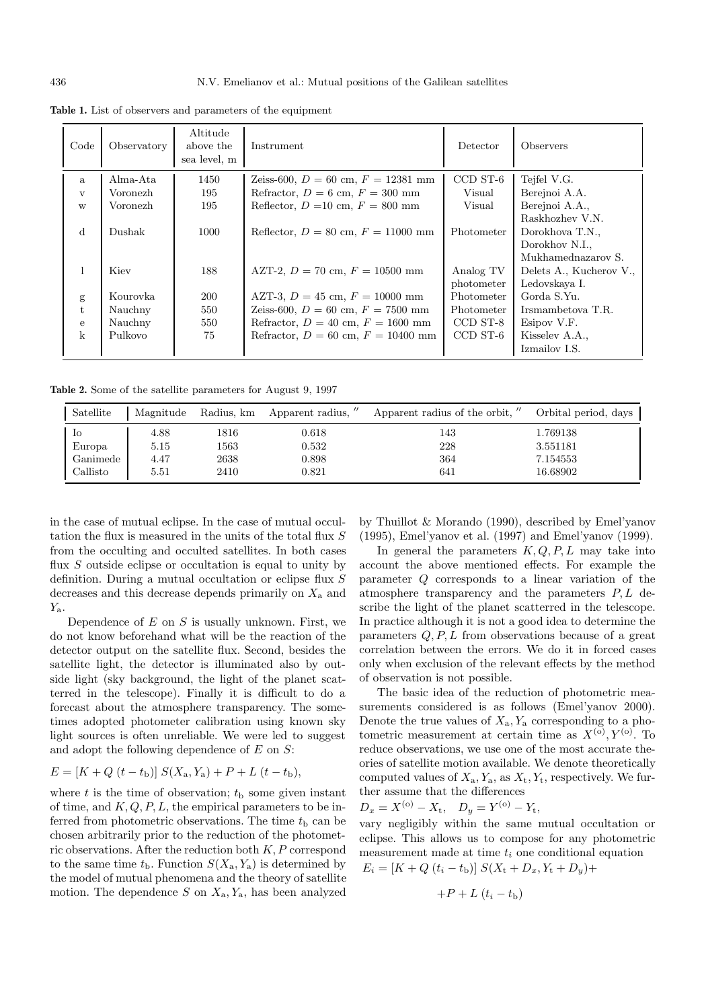| Code         | Observatory | Altitude<br>above the<br>sea level, m | Instrument                             | Detector                | <i>Observers</i>                                                           |
|--------------|-------------|---------------------------------------|----------------------------------------|-------------------------|----------------------------------------------------------------------------|
| a            | Alma-Ata    | 1450                                  | Zeiss-600, $D = 60$ cm, $F = 12381$ mm | CCD ST-6                | Tejfel V.G.                                                                |
| $\mathbf{v}$ | Voronezh    | 195                                   | Refractor, $D = 6$ cm, $F = 300$ mm    | Visual                  | Berejnoi A.A.                                                              |
| W            | Voronezh    | 195                                   | Reflector, $D = 10$ cm, $F = 800$ mm   | Visual                  | Berejnoi A.A.,                                                             |
| $\mathbf d$  | Dushak      | 1000                                  | Reflector, $D = 80$ cm, $F = 11000$ mm | Photometer              | Raskhozhev V.N.<br>Dorokhova T.N.,<br>Dorokhov N.I.,<br>Mukhamednazarov S. |
| 1            | Kiev        | 188                                   | AZT-2, $D = 70$ cm, $F = 10500$ mm     | Analog TV<br>photometer | Delets A., Kucherov V.,<br>Ledovskaya I.                                   |
| g            | Kourovka    | <b>200</b>                            | AZT-3, $D = 45$ cm, $F = 10000$ mm     | Photometer              | Gorda S.Yu.                                                                |
| $t_{i}$      | Nauchny     | 550                                   | Zeiss-600, $D = 60$ cm, $F = 7500$ mm  | Photometer              | Irsmambetova T.R.                                                          |
| $\mathbf{e}$ | Nauchny     | 550                                   | Refractor, $D = 40$ cm, $F = 1600$ mm  | CCD ST-8                | Esipov V.F.                                                                |
| $\mathbf{k}$ | Pulkovo     | 75                                    | Refractor, $D = 60$ cm, $F = 10400$ mm | CCD ST-6                | Kisselev A.A.,<br>Izmailov I.S.                                            |

**Table 1.** List of observers and parameters of the equipment

**Table 2.** Some of the satellite parameters for August 9, 1997

| Satellite | Magnitude |      | Radius, km Apparent radius, " | Apparent radius of the orbit, " | Orbital period, days |
|-----------|-----------|------|-------------------------------|---------------------------------|----------------------|
| Io        | 4.88      | 1816 | 0.618                         | 143                             | 1.769138             |
| Europa    | 5.15      | 1563 | 0.532                         | 228                             | 3.551181             |
| Ganimede  | 4.47      | 2638 | 0.898                         | 364                             | 7.154553             |
| Callisto  | 5.51      | 2410 | 0.821                         | 641                             | 16.68902             |

in the case of mutual eclipse. In the case of mutual occultation the flux is measured in the units of the total flux S from the occulting and occulted satellites. In both cases flux  $S$  outside eclipse or occultation is equal to unity by definition. During a mutual occultation or eclipse flux S decreases and this decrease depends primarily on  $X_a$  and  $Y_{\rm a}$ .

Dependence of  $E$  on  $S$  is usually unknown. First, we do not know beforehand what will be the reaction of the detector output on the satellite flux. Second, besides the satellite light, the detector is illuminated also by outside light (sky background, the light of the planet scatterred in the telescope). Finally it is difficult to do a forecast about the atmosphere transparency. The sometimes adopted photometer calibration using known sky light sources is often unreliable. We were led to suggest and adopt the following dependence of  $E$  on  $S$ :

$$
E = [K + Q (t - t_{\rm b})] S(X_{\rm a}, Y_{\rm a}) + P + L (t - t_{\rm b}),
$$

where t is the time of observation;  $t<sub>b</sub>$  some given instant of time, and  $K, Q, P, L$ , the empirical parameters to be inferred from photometric observations. The time  $t<sub>b</sub>$  can be chosen arbitrarily prior to the reduction of the photometric observations. After the reduction both  $K, P$  correspond to the same time  $t<sub>b</sub>$ . Function  $S(X<sub>a</sub>, Y<sub>a</sub>)$  is determined by the model of mutual phenomena and the theory of satellite motion. The dependence  $S$  on  $X_a, Y_a$ , has been analyzed

by Thuillot & Morando (1990), described by Emel'yanov (1995), Emel'yanov et al. (1997) and Emel'yanov (1999).

In general the parameters  $K, Q, P, L$  may take into account the above mentioned effects. For example the parameter Q corresponds to a linear variation of the atmosphere transparency and the parameters  $P, L$  describe the light of the planet scatterred in the telescope. In practice although it is not a good idea to determine the parameters  $Q, P, L$  from observations because of a great correlation between the errors. We do it in forced cases only when exclusion of the relevant effects by the method of observation is not possible.

The basic idea of the reduction of photometric measurements considered is as follows (Emel'yanov 2000). Denote the true values of  $X_a, Y_a$  corresponding to a photometric measurement at certain time as  $X^{(0)}, Y^{(0)}$ . To reduce observations, we use one of the most accurate theories of satellite motion available. We denote theoretically computed values of  $X_a, Y_a$ , as  $X_t, Y_t$ , respectively. We further assume that the differences

$$
D_x = X^{(0)} - X_t, \quad D_y = Y^{(0)} - Y_t,
$$

vary negligibly within the same mutual occultation or eclipse. This allows us to compose for any photometric measurement made at time  $t_i$  one conditional equation<br> $F = [K + Q(t + t)] G(Y + R - X + R)$  $D = V_1 + D_2$ 

$$
E_i = [K + Q (t_i - t_{\rm b})] S(X_{\rm t} + D_x, Y_{\rm t} + D_y)
$$

$$
+P+L\left(t_i-t_{\rm b}\right)
$$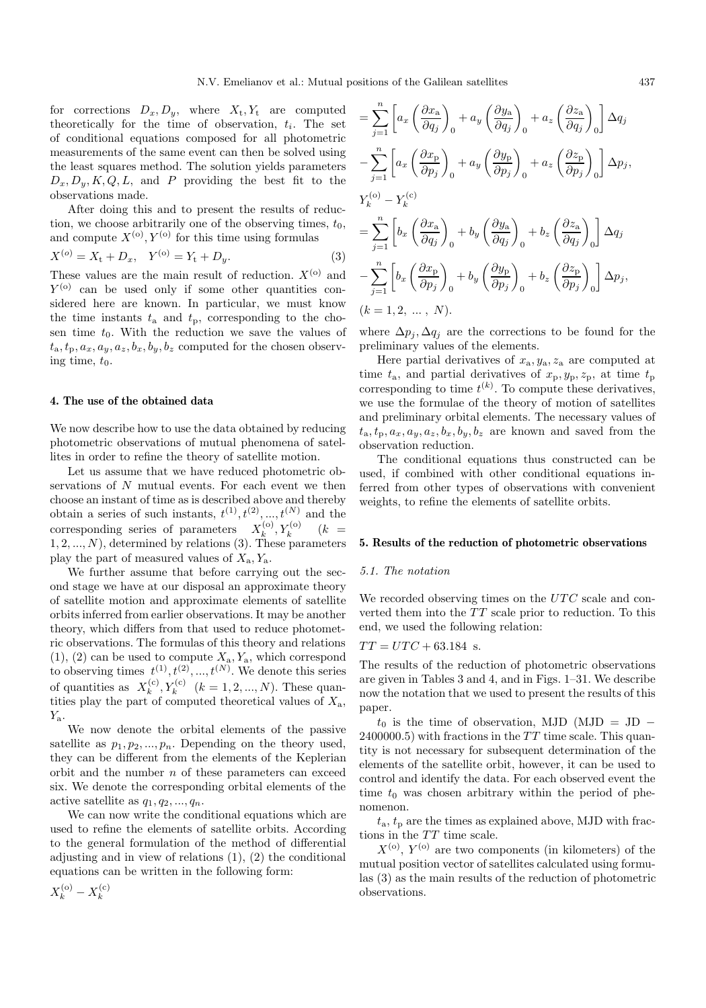for corrections  $D_x, D_y$ , where  $X_t, Y_t$  are computed theoretically for the time of observation,  $t_i$ . The set of conditional equations composed for all photometric measurements of the same event can then be solved using the least squares method. The solution yields parameters  $D_x, D_y, K, Q, L$ , and P providing the best fit to the observations made.

After doing this and to present the results of reduction, we choose arbitrarily one of the observing times,  $t_0$ , and compute  $X^{(0)}, Y^{(0)}$  for this time using formulas

$$
X^{(o)} = X_t + D_x, \quad Y^{(o)} = Y_t + D_y.
$$
 (3)

These values are the main result of reduction.  $X^{(0)}$  and  $Y^{(0)}$  can be used only if some other quantities considered here are known. In particular, we must know the time instants  $t_a$  and  $t_p$ , corresponding to the chosen time  $t_0$ . With the reduction we save the values of  $t_a, t_p, a_x, a_y, a_z, b_x, b_y, b_z$  computed for the chosen observing time,  $t_0$ .

### **4. The use of the obtained data**

We now describe how to use the data obtained by reducing photometric observations of mutual phenomena of satellites in order to refine the theory of satellite motion.

Let us assume that we have reduced photometric observations of  $N$  mutual events. For each event we then choose an instant of time as is described above and thereby obtain a series of such instants,  $t^{(1)}$ ,  $t^{(2)}$ , ...,  $t^{(N)}$  and the corresponding series of parameters  $X_k^{(0)}, Y_k^{(0)}$  ( $k =$  $1, 2, ..., N$ , determined by relations (3). These parameters play the part of measured values of  $X_a, Y_a$ .

We further assume that before carrying out the second stage we have at our disposal an approximate theory of satellite motion and approximate elements of satellite orbits inferred from earlier observations. It may be another theory, which differs from that used to reduce photometric observations. The formulas of this theory and relations  $(1), (2)$  can be used to compute  $X_a, Y_a$ , which correspond to observing times  $t^{(1)}, t^{(2)}, ..., t^{(N)}$ . We denote this series of quantities as  $X_k^{(c)}, Y_k^{(c)} \quad (k = 1, 2, ..., N)$ . These quantities play the part of computed theoretical values of  $X_a$ ,  $Y_{\rm a}$ .

We now denote the orbital elements of the passive satellite as  $p_1, p_2, ..., p_n$ . Depending on the theory used, they can be different from the elements of the Keplerian orbit and the number  $n$  of these parameters can exceed six. We denote the corresponding orbital elements of the active satellite as  $q_1, q_2, ..., q_n$ .

We can now write the conditional equations which are used to refine the elements of satellite orbits. According to the general formulation of the method of differential adjusting and in view of relations (1), (2) the conditional equations can be written in the following form:

$$
= \sum_{j=1}^{n} \left[ a_x \left( \frac{\partial x_a}{\partial q_j} \right)_0 + a_y \left( \frac{\partial y_a}{\partial q_j} \right)_0 + a_z \left( \frac{\partial z_a}{\partial q_j} \right)_0 \right] \Delta q_j
$$
  

$$
- \sum_{j=1}^{n} \left[ a_x \left( \frac{\partial x_p}{\partial p_j} \right)_0 + a_y \left( \frac{\partial y_p}{\partial p_j} \right)_0 + a_z \left( \frac{\partial z_p}{\partial p_j} \right)_0 \right] \Delta p_j,
$$
  

$$
Y_k^{(o)} - Y_k^{(c)}
$$
  

$$
= \sum_{j=1}^{n} \left[ b_x \left( \frac{\partial x_a}{\partial q_j} \right)_0 + b_y \left( \frac{\partial y_a}{\partial q_j} \right)_0 + b_z \left( \frac{\partial z_a}{\partial q_j} \right)_0 \right] \Delta q_j
$$
  

$$
- \sum_{j=1}^{n} \left[ b_x \left( \frac{\partial x_p}{\partial p_j} \right)_0 + b_y \left( \frac{\partial y_p}{\partial p_j} \right)_0 + b_z \left( \frac{\partial z_p}{\partial p_j} \right)_0 \right] \Delta p_j,
$$
  
(*k* = 1, 2, ..., *N*).

where  $\Delta p_j, \Delta q_j$  are the corrections to be found for the preliminary values of the elements.

Here partial derivatives of  $x_a, y_a, z_a$  are computed at time  $t_a$ , and partial derivatives of  $x_p, y_p, z_p$ , at time  $t_p$ corresponding to time  $t^{(k)}$ . To compute these derivatives, we use the formulae of the theory of motion of satellites and preliminary orbital elements. The necessary values of  $t_{\rm a}, t_{\rm p}, a_x, a_y, a_z, b_x, b_y, b_z$  are known and saved from the observation reduction.

The conditional equations thus constructed can be used, if combined with other conditional equations inferred from other types of observations with convenient weights, to refine the elements of satellite orbits.

### **5. Results of the reduction of photometric observations**

## 5.1. The notation

We recorded observing times on the UTC scale and converted them into the  $TT$  scale prior to reduction. To this end, we used the following relation:

$$
TT = UTC + 63.184
$$
 s.

The results of the reduction of photometric observations are given in Tables 3 and 4, and in Figs. 1–31. We describe now the notation that we used to present the results of this paper.

 $t_0$  is the time of observation, MJD (MJD = JD –  $2400000.5$ ) with fractions in the TT time scale. This quantity is not necessary for subsequent determination of the elements of the satellite orbit, however, it can be used to control and identify the data. For each observed event the time  $t_0$  was chosen arbitrary within the period of phenomenon.

 $t_{\rm a}, t_{\rm p}$  are the times as explained above, MJD with fractions in the  $TT$  time scale.

 $X^{(0)}$ ,  $Y^{(0)}$  are two components (in kilometers) of the mutual position vector of satellites calculated using formulas (3) as the main results of the reduction of photometric observations.

$$
X_k^{\rm (o)}-X_k^{\rm (c)}
$$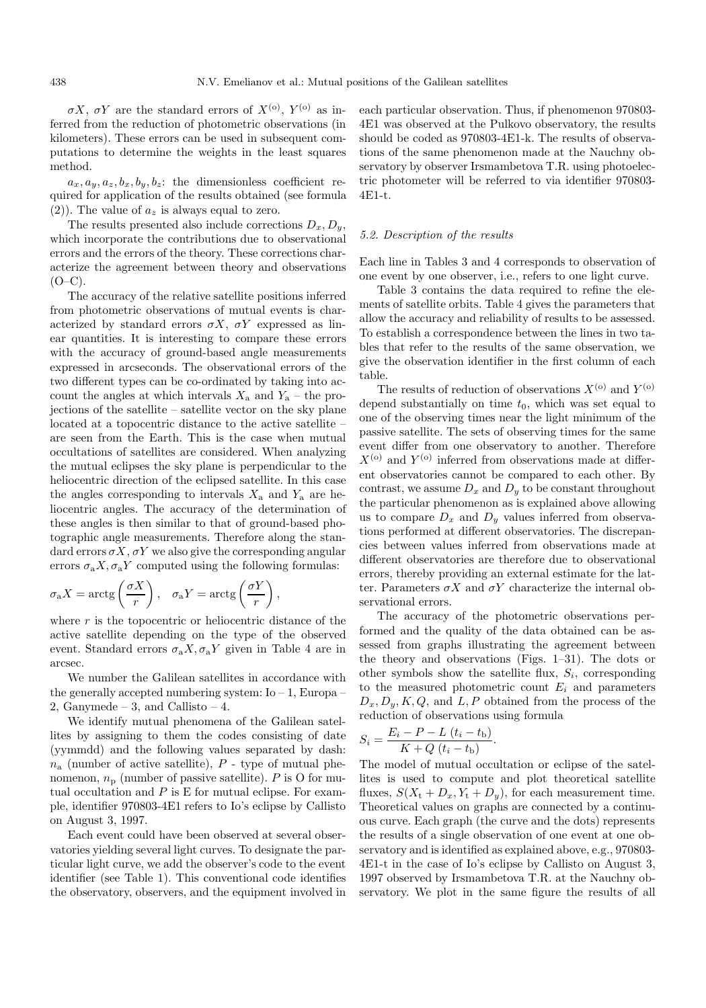σX, σY are the standard errors of  $X^{(0)}$ ,  $Y^{(0)}$  as inferred from the reduction of photometric observations (in kilometers). These errors can be used in subsequent computations to determine the weights in the least squares method.

 $a_x, a_y, a_z, b_x, b_y, b_z$ : the dimensionless coefficient required for application of the results obtained (see formula (2)). The value of  $a_z$  is always equal to zero.

The results presented also include corrections  $D_x, D_y$ , which incorporate the contributions due to observational errors and the errors of the theory. These corrections characterize the agreement between theory and observations  $(O-C)$ .

The accuracy of the relative satellite positions inferred from photometric observations of mutual events is characterized by standard errors  $\sigma X$ ,  $\sigma Y$  expressed as linear quantities. It is interesting to compare these errors with the accuracy of ground-based angle measurements expressed in arcseconds. The observational errors of the two different types can be co-ordinated by taking into account the angles at which intervals  $X_a$  and  $Y_a$  – the projections of the satellite – satellite vector on the sky plane located at a topocentric distance to the active satellite – are seen from the Earth. This is the case when mutual occultations of satellites are considered. When analyzing the mutual eclipses the sky plane is perpendicular to the heliocentric direction of the eclipsed satellite. In this case the angles corresponding to intervals  $X_a$  and  $Y_a$  are heliocentric angles. The accuracy of the determination of these angles is then similar to that of ground-based photographic angle measurements. Therefore along the standard errors  $\sigma X$ ,  $\sigma Y$  we also give the corresponding angular errors  $\sigma_a X$ ,  $\sigma_a Y$  computed using the following formulas:

$$
\sigma_a X = \arctg\left(\frac{\sigma X}{r}\right), \quad \sigma_a Y = \arctg\left(\frac{\sigma Y}{r}\right),
$$

where  $r$  is the topocentric or heliocentric distance of the active satellite depending on the type of the observed event. Standard errors  $\sigma_a X, \sigma_a Y$  given in Table 4 are in arcsec.

We number the Galilean satellites in accordance with the generally accepted numbering system:  $I_0 - 1$ , Europa 2, Ganymede – 3, and Callisto – 4.

We identify mutual phenomena of the Galilean satellites by assigning to them the codes consisting of date (yymmdd) and the following values separated by dash:  $n_a$  (number of active satellite),  $P$  - type of mutual phenomenon,  $n_{\rm p}$  (number of passive satellite). P is O for mutual occultation and  $P$  is  $E$  for mutual eclipse. For example, identifier 970803-4E1 refers to Io's eclipse by Callisto on August 3, 1997.

Each event could have been observed at several observatories yielding several light curves. To designate the particular light curve, we add the observer's code to the event identifier (see Table 1). This conventional code identifies the observatory, observers, and the equipment involved in each particular observation. Thus, if phenomenon 970803- 4E1 was observed at the Pulkovo observatory, the results should be coded as 970803-4E1-k. The results of observations of the same phenomenon made at the Nauchny observatory by observer Irsmambetova T.R. using photoelectric photometer will be referred to via identifier 970803- 4E1-t.

## 5.2. Description of the results

Each line in Tables 3 and 4 corresponds to observation of one event by one observer, i.e., refers to one light curve.

Table 3 contains the data required to refine the elements of satellite orbits. Table 4 gives the parameters that allow the accuracy and reliability of results to be assessed. To establish a correspondence between the lines in two tables that refer to the results of the same observation, we give the observation identifier in the first column of each table.

The results of reduction of observations  $X^{(0)}$  and  $Y^{(0)}$ depend substantially on time  $t_0$ , which was set equal to one of the observing times near the light minimum of the passive satellite. The sets of observing times for the same event differ from one observatory to another. Therefore  $X^{(0)}$  and  $Y^{(0)}$  inferred from observations made at different observatories cannot be compared to each other. By contrast, we assume  $D_x$  and  $D_y$  to be constant throughout the particular phenomenon as is explained above allowing us to compare  $D_x$  and  $D_y$  values inferred from observations performed at different observatories. The discrepancies between values inferred from observations made at different observatories are therefore due to observational errors, thereby providing an external estimate for the latter. Parameters  $\sigma X$  and  $\sigma Y$  characterize the internal observational errors.

The accuracy of the photometric observations performed and the quality of the data obtained can be assessed from graphs illustrating the agreement between the theory and observations (Figs. 1–31). The dots or other symbols show the satellite flux,  $S_i$ , corresponding to the measured photometric count  $E_i$  and parameters  $D_x, D_y, K, Q$ , and L, P obtained from the process of the reduction of observations using formula

$$
S_i = \frac{E_i - P - L (t_i - t_{\rm b})}{K + Q (t_i - t_{\rm b})}.
$$

The model of mutual occultation or eclipse of the satellites is used to compute and plot theoretical satellite fluxes,  $S(X_t + D_x, Y_t + D_y)$ , for each measurement time. Theoretical values on graphs are connected by a continuous curve. Each graph (the curve and the dots) represents the results of a single observation of one event at one observatory and is identified as explained above, e.g., 970803- 4E1-t in the case of Io's eclipse by Callisto on August 3, 1997 observed by Irsmambetova T.R. at the Nauchny observatory. We plot in the same figure the results of all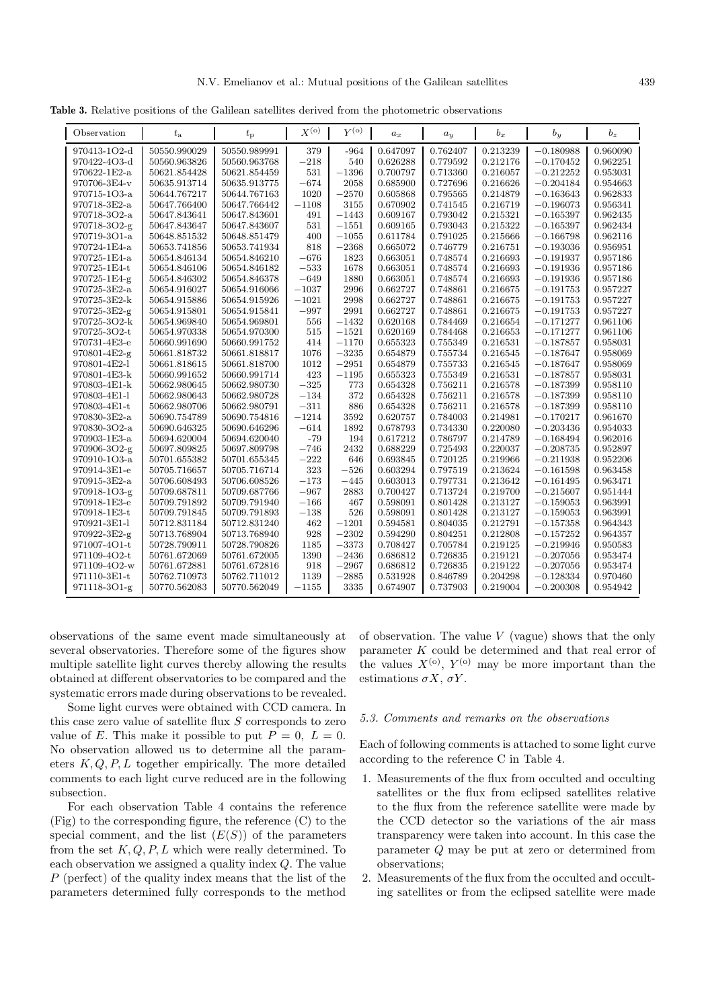**Table 3.** Relative positions of the Galilean satellites derived from the photometric observations

| Observation                  | $t_{\rm a}$                  | $t_{\rm p}$                  | $X^{(0)}$         | $Y^{(0)}$    | $a_x$                | $a_y$                | $b_x$                | $b_y$                      | $b_z$                |
|------------------------------|------------------------------|------------------------------|-------------------|--------------|----------------------|----------------------|----------------------|----------------------------|----------------------|
| 970413-1O2-d                 | 50550.990029                 | 50550.989991                 | 379               | $-964$       | 0.647097             | 0.762407             | 0.213239             | $-0.180988$                | 0.960090             |
| 970422-4O3-d                 | 50560.963826                 | 50560.963768                 | $-218$            | 540          | 0.626288             | 0.779592             | 0.212176             | $-0.170452$                | 0.962251             |
| 970622-1E2-a                 | 50621.854428                 | 50621.854459                 | 531               | $-1396$      | 0.700797             | 0.713360             | 0.216057             | $-0.212252$                | 0.953031             |
| 970706-3E4-v                 | 50635.913714                 | 50635.913775                 | $-674$            | 2058         | 0.685900             | 0.727696             | 0.216626             | $-0.204184$                | 0.954663             |
| 970715-1O3-a                 | 50644.767217                 | 50644.767163                 | 1020              | $-2570$      | 0.605868             | 0.795565             | 0.214879             | $-0.163643$                | 0.962833             |
| 970718-3E2-a                 | 50647.766400                 | 50647.766442                 | $-1108$           | 3155         | 0.670902             | 0.741545             | 0.216719             | $-0.196073$                | 0.956341             |
| 970718-3O2-a                 | 50647.843641                 | 50647.843601                 | 491               | $-1443$      | 0.609167             | 0.793042             | 0.215321             | $-0.165397$                | 0.962435             |
| 970718-3O2-g                 | 50647.843647                 | 50647.843607                 | 531               | $-1551$      | 0.609165             | 0.793043             | 0.215322             | $-0.165397$                | 0.962434             |
| 970719-3O1-a                 | 50648.851532                 | 50648.851479                 | 400               | $-1055$      | 0.611784             | 0.791025             | 0.215666             | $-0.166798$                | 0.962116             |
| 970724-1E4-a                 | 50653.741856                 | 50653.741934                 | 818               | $-2368$      | 0.665072             | 0.746779             | 0.216751             | $-0.193036$                | 0.956951             |
| 970725-1E4-a                 | 50654.846134                 | 50654.846210                 | $-676$            | 1823         | 0.663051             | 0.748574             | 0.216693             | $-0.191937$                | 0.957186             |
| 970725-1E4-t                 | 50654.846106                 | 50654.846182                 | $-533$            | 1678         | 0.663051             | 0.748574             | 0.216693             | $-0.191936$                | 0.957186             |
| 970725-1E4-g                 | 50654.846302                 | 50654.846378                 | $-649$            | 1880         | 0.663051             | 0.748574             | 0.216693             | $-0.191936$                | 0.957186             |
| 970725-3E2-a                 | 50654.916027                 | 50654.916066                 | $-1037$           | 2996         | 0.662727             | 0.748861             | 0.216675             | $-0.191753$                | 0.957227             |
| 970725-3E2-k                 | 50654.915886                 | 50654.915926                 | $-1021$           | 2998         | 0.662727             | 0.748861             | 0.216675             | $-0.191753$                | 0.957227             |
| 970725-3E2-g                 | 50654.915801                 | 50654.915841                 | $-997$            | 2991         | 0.662727             | 0.748861             | 0.216675             | $-0.191753$                | 0.957227             |
| 970725-3O2-k                 | 50654.969840                 | 50654.969801                 | 556               | $-1432$      | 0.620168             | 0.784469             | 0.216654             | $-0.171277$                | 0.961106             |
| 970725-3O2-t                 | 50654.970338                 | 50654.970300                 | 515               | $-1521$      | 0.620169             | 0.784468             | 0.216653             | $-0.171277$                | 0.961106             |
| 970731-4E3-e                 | 50660.991690                 | 50660.991752                 | 414               | $-1170$      | 0.655323             | 0.755349             | 0.216531             | $-0.187857$                | 0.958031             |
| 970801-4E2-g                 | 50661.818732                 | 50661.818817                 | 1076              | $-3235$      | 0.654879             | 0.755734             | 0.216545             | $-0.187647$                | 0.958069             |
| 970801-4E2-l                 | 50661.818615                 | 50661.818700                 | 1012              | $-2951$      | 0.654879             | 0.755733             | 0.216545             | $-0.187647$                | 0.958069             |
| 970801-4E3-k                 | 50660.991652                 | 50660.991714                 | 423               | $-1195$      | 0.655323             | 0.755349             | 0.216531             | $-0.187857$                | 0.958031             |
| 970803-4E1-k                 | 50662.980645                 | 50662.980730                 | $-325\,$          | 773          | 0.654328             | 0.756211             | 0.216578             | $-0.187399$                | 0.958110             |
| 970803-4E1-l                 | 50662.980643                 | 50662.980728                 | $-134$            | 372          | 0.654328             | 0.756211             | 0.216578             | $-0.187399$                | 0.958110             |
| 970803-4E1-t                 | 50662.980706                 | 50662.980791                 | $-311$            | 886          | 0.654328             | 0.756211             | 0.216578             | $-0.187399$                | 0.958110             |
| 970830-3E2-a<br>970830-3O2-a | 50690.754789                 | 50690.754816                 | $-1214$<br>$-614$ | 3592<br>1892 | 0.620757<br>0.678793 | 0.784003<br>0.734330 | 0.214981<br>0.220080 | $-0.170217$<br>$-0.203436$ | 0.961670<br>0.954033 |
| 970903-1E3-a                 | 50690.646325                 | 50690.646296<br>50694.620040 | $-79$             | 194          | 0.617212             |                      |                      |                            |                      |
| 970906-3O2-g                 | 50694.620004<br>50697.809825 | 50697.809798                 | $-746$            | 2432         | 0.688229             | 0.786797<br>0.725493 | 0.214789<br>0.220037 | $-0.168494$<br>$-0.208735$ | 0.962016<br>0.952897 |
| 970910-1O3-a                 | 50701.655382                 | 50701.655345                 | $-222$            | 646          | 0.693845             | 0.720125             | 0.219966             | $-0.211938$                | 0.952206             |
| 970914-3E1-e                 | 50705.716657                 | 50705.716714                 | 323               | $-526$       | 0.603294             | 0.797519             | 0.213624             | $-0.161598$                | 0.963458             |
| 970915-3E2-a                 | 50706.608493                 | 50706.608526                 | $-173$            | $-445$       | 0.603013             | 0.797731             | 0.213642             | $-0.161495$                | 0.963471             |
| 970918-1O3-g                 | 50709.687811                 | 50709.687766                 | $-967$            | 2883         | 0.700427             | 0.713724             | 0.219700             | $-0.215607$                | 0.951444             |
| 970918-1E3-e                 | 50709.791892                 | 50709.791940                 | $-166$            | 467          | 0.598091             | 0.801428             | 0.213127             | $-0.159053$                | 0.963991             |
| 970918-1E3-t                 | 50709.791845                 | 50709.791893                 | $-138$            | 526          | 0.598091             | 0.801428             | 0.213127             | $-0.159053$                | 0.963991             |
| 970921-3E1-l                 | 50712.831184                 | 50712.831240                 | 462               | $-1201$      | 0.594581             | 0.804035             | 0.212791             | $-0.157358$                | 0.964343             |
| 970922-3E2-g                 | 50713.768904                 | 50713.768940                 | 928               | $-2302$      | 0.594290             | 0.804251             | 0.212808             | $-0.157252$                | 0.964357             |
| 971007-4O1-t                 | 50728.790911                 | 50728.790826                 | 1185              | $-3373$      | 0.708427             | 0.705784             | 0.219125             | $-0.219946$                | 0.950583             |
| 971109-4O2-t                 | 50761.672069                 | 50761.672005                 | 1390              | $-2436$      | 0.686812             | 0.726835             | 0.219121             | $-0.207056$                | 0.953474             |
| 971109-4O2-w                 | 50761.672881                 | 50761.672816                 | 918               | $-2967$      | 0.686812             | 0.726835             | 0.219122             | $-0.207056$                | 0.953474             |
| 971110-3E1-t                 | 50762.710973                 | 50762.711012                 | 1139              | $-2885$      | 0.531928             | 0.846789             | 0.204298             | $-0.128334$                | 0.970460             |
| 971118-3O1-g                 | 50770.562083                 | 50770.562049                 | $-1155$           | 3335         | 0.674907             | 0.737903             | 0.219004             | $-0.200308$                | 0.954942             |

observations of the same event made simultaneously at several observatories. Therefore some of the figures show multiple satellite light curves thereby allowing the results obtained at different observatories to be compared and the systematic errors made during observations to be revealed.

Some light curves were obtained with CCD camera. In this case zero value of satellite flux S corresponds to zero value of E. This make it possible to put  $P = 0$ ,  $L = 0$ . No observation allowed us to determine all the parameters  $K, Q, P, L$  together empirically. The more detailed comments to each light curve reduced are in the following subsection.

For each observation Table 4 contains the reference (Fig) to the corresponding figure, the reference (C) to the special comment, and the list  $(E(S))$  of the parameters from the set  $K, Q, P, L$  which were really determined. To each observation we assigned a quality index Q. The value P (perfect) of the quality index means that the list of the parameters determined fully corresponds to the method

of observation. The value  $V$  (vague) shows that the only parameter K could be determined and that real error of the values  $X^{(0)}$ ,  $Y^{(0)}$  may be more important than the estimations  $\sigma X$ ,  $\sigma Y$ .

## 5.3. Comments and remarks on the observations

Each of following comments is attached to some light curve according to the reference C in Table 4.

- 1. Measurements of the flux from occulted and occulting satellites or the flux from eclipsed satellites relative to the flux from the reference satellite were made by the CCD detector so the variations of the air mass transparency were taken into account. In this case the parameter Q may be put at zero or determined from observations;
- 2. Measurements of the flux from the occulted and occulting satellites or from the eclipsed satellite were made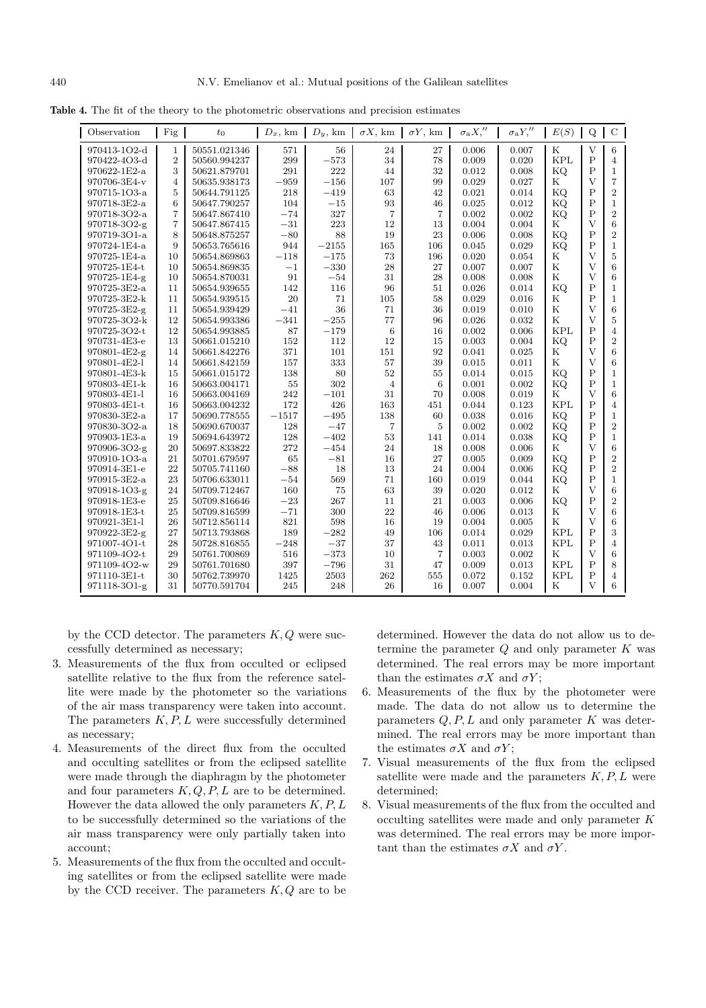**Table 4.** The fit of the theory to the photometric observations and precision estimates

| Observation  | Fig            | $t_0$            | $D_x$ , km | $D_u$ , km | $\sigma X$ , km | $\sigma Y$ , km | $\sigma_{\rm a} X''$ | $\sigma_{\rm a}Y''$ | E(S)        | $\mathbf Q$    | $\mathbf C$    |
|--------------|----------------|------------------|------------|------------|-----------------|-----------------|----------------------|---------------------|-------------|----------------|----------------|
| 970413-1O2-d | $\mathbf{1}$   | 50551.021346     | 571        | 56         | 24              | 27              | 0.006                | 0.007               | $_{\rm K}$  | $\overline{V}$ | 6              |
| 970422-4O3-d | $\overline{2}$ | 50560.994237     | 299        | $-573$     | 34              | 78              | 0.009                | 0.020               | <b>KPL</b>  | $\mathbf{P}$   | $\overline{4}$ |
| 970622-1E2-a | 3              | 50621.879701     | 291        | 222        | 44              | 32              | 0.012                | 0.008               | KQ.         | $\mathbf P$    | $\mathbf{1}$   |
| 970706-3E4-v | $\overline{4}$ | 50635.938173     | $-959$     | $-156$     | 107             | 99              | 0.029                | 0.027               | K           | $\overline{V}$ | $\overline{7}$ |
| 970715-1O3-a | 5              | 50644.791125     | 218        | $-419$     | 63              | 42              | 0.021                | 0.014               | KQ.         | $\mathbf{P}$   | $\overline{2}$ |
| 970718-3E2-a | 6              | 50647.790257     | 104        | $-15$      | 93              | 46              | 0.025                | 0.012               | KQ          | $\overline{P}$ | $\mathbf{1}$   |
| 970718-3O2-a | $\overline{7}$ | 50647.867410     | $-74$      | 327        | $\overline{7}$  | $\overline{7}$  | 0.002                | 0.002               | KQ.         | $\overline{P}$ | $\overline{2}$ |
| 970718-3O2-g | 7              | 50647.867415     | $-31$      | 223        | 12              | 13              | 0.004                | 0.004               | $_{\rm K}$  | $\mathbf{V}$   | 6              |
| 970719-3O1-a | 8              | 50648.875257     | $-80$      | 88         | 19              | 23              | 0.006                | 0.008               | KQ          | $\mathbf{P}$   | $\overline{2}$ |
| 970724-1E4-a | 9              | 50653.765616     | 944        | $-2155$    | 165             | 106             | 0.045                | 0.029               | KQ          | $\overline{P}$ | $\mathbf{1}$   |
| 970725-1E4-a | 10             | 50654.869863     | $-118$     | $-175$     | 73              | 196             | 0.020                | 0.054               | $_{\rm K}$  | $\overline{V}$ | 5              |
| 970725-1E4-t | 10             | 50654.869835     | $-1$       | $-330$     | 28              | 27              | 0.007                | 0.007               | ${\bf K}$   | $\overline{V}$ | 6              |
| 970725-1E4-g | 10             | 50654.870031     | 91         | $-54$      | 31              | 28              | 0.008                | 0.008               | $_{\rm K}$  | $\overline{V}$ | 6              |
| 970725-3E2-a | 11             | 50654.939655     | 142        | 116        | 96              | 51              | 0.026                | 0.014               | KQ          | P              | $\mathbf{1}$   |
| 970725-3E2-k | 11             | 50654.939515     | 20         | 71         | 105             | 58              | 0.029                | 0.016               | $_{\rm K}$  | $\mathbf P$    | $\mathbf{1}$   |
| 970725-3E2-g | 11             | 50654.939429     | $-41$      | 36         | 71              | 36              | 0.019                | 0.010               | ${\bf K}$   | $\overline{V}$ | 6              |
| 970725-3O2-k | 12             | 50654.993386     | $-341$     | $-255$     | 77              | 96              | 0.026                | 0.032               | $\mathbf K$ | $\overline{V}$ | 5              |
| 970725-3O2-t | 12             | 50654.993885     | 87         | $-179$     | 6               | 16              | 0.002                | 0.006               | <b>KPL</b>  | $\overline{P}$ | $\overline{4}$ |
| 970731-4E3-e | 13             | 50661.015210     | 152        | 112        | 12              | 15              | 0.003                | 0.004               | KQ          | P              | $\overline{2}$ |
| 970801-4E2-g | 14             | 50661.842276     | 371        | 101        | $151\,$         | 92              | 0.041                | 0.025               | $_{\rm K}$  | $\overline{V}$ | 6              |
| 970801-4E2-l | 14             | 50661.842159     | 157        | 333        | 57              | 39              | 0.015                | 0.011               | $\mathbf K$ | $\overline{V}$ | 6              |
| 970801-4E3-k | 15             | 50661.015172     | 138        | 80         | $52\,$          | 55              | 0.014                | 0.015               | KQ          | $\mathbf{P}$   | $\mathbf{1}$   |
| 970803-4E1-k | 16             | 50663.004171     | 55         | 302        | $\overline{4}$  | 6               | 0.001                | 0.002               | KQ.         | $\mathsf{P}$   | $\mathbf{1}$   |
| 970803-4E1-l | 16             | 50663.004169     | 242        | $-101$     | 31              | 70              | 0.008                | 0.019               | $_{\rm K}$  | $\overline{V}$ | 6              |
| 970803-4E1-t | 16             | 50663.004232     | 172        | 426        | 163             | 451             | 0.044                | 0.123               | <b>KPL</b>  | $\mathbf P$    | $\overline{4}$ |
| 970830-3E2-a | 17             | 50690.778555     | $-1517$    | $-495$     | 138             | 60              | 0.038                | 0.016               | KQ.         | $\mathsf{P}$   | $\mathbf{1}$   |
| 970830-3O2-a | 18             | 50690.670037     | 128        | $-47$      | 7               | 5               | 0.002                | 0.002               | KQ.         | $\mathbf{P}$   | $\overline{2}$ |
| 970903-1E3-a | 19             | 50694.643972     | 128        | $-402$     | 53              | 141             | 0.014                | 0.038               | KQ.         | $\mathbf{P}$   | $\mathbf{1}$   |
| 970906-3O2-g | 20             | 50697.833822     | 272        | $-454$     | 24              | 18              | 0.008                | 0.006               | $_{\rm K}$  | $\overline{V}$ | 6              |
| 970910-1O3-a | 21             | 50701.679597     | 65         | $-81$      | 16              | 27              | 0.005                | 0.009               | KQ          | P              | $\overline{2}$ |
| 970914-3E1-e | 22             | 50705.741160     | $-88$      | 18         | 13              | 24              | 0.004                | 0.006               | KQ.         | $\overline{P}$ | $\overline{2}$ |
| 970915-3E2-a | 23             | 50706.633011     | $-54$      | 569        | 71              | 160             | 0.019                | 0.044               | KQ.         | $\mathbf{P}$   | $\mathbf{1}$   |
| 970918-1O3-g | 24             | 50709.712467     | 160        | 75         | 63              | 39              | 0.020                | 0.012               | $_{\rm K}$  | $\overline{V}$ | 6              |
| 970918-1E3-e | 25             | 50709.816646     | $-23$      | 267        | 11              | 21              | 0.003                | 0.006               | KQ          | P              | $\overline{2}$ |
| 970918-1E3-t | 25             | 50709.816599     | $-71$      | 300        | 22              | 46              | 0.006                | 0.013               | $_{\rm K}$  | $\overline{V}$ | 6              |
| 970921-3E1-l | 26             | 50712.856114     | 821        | 598        | 16              | 19              | 0.004                | 0.005               | $_{\rm K}$  | V              | 6              |
| 970922-3E2-g | 27             | 50713.793868     | 189        | $-282$     | 49              | 106             | 0.014                | 0.029               | <b>KPL</b>  | $\mathbf P$    | 3              |
| 971007-4O1-t | 28             | 50728.816855     | $-248$     | $-37$      | 37              | 43              | 0.011                | 0.013               | <b>KPL</b>  | $\overline{P}$ | $\overline{4}$ |
| 971109-4O2-t | 29             | 50761.700869     | 516        | $-373\,$   | 10              | $\overline{7}$  | 0.003                | 0.002               | $_{\rm K}$  | $\overline{V}$ | 6              |
| 971109-4O2-w | 29             | $50761.701680\,$ | 397        | $-796$     | $31\,$          | 47              | 0.009                | 0.013               | <b>KPL</b>  | $\mathbf{P}$   | 8              |
| 971110-3E1-t | 30             | 50762.739970     | 1425       | 2503       | 262             | 555             | 0.072                | 0.152               | <b>KPL</b>  | $\mathbf P$    | $\overline{4}$ |
| 971118-3O1-g | 31             | 50770.591704     | 245        | 248        | 26              | 16              | 0.007                | 0.004               | K           | V              | 6              |

by the CCD detector. The parameters  $K, Q$  were successfully determined as necessary;

- 3. Measurements of the flux from occulted or eclipsed satellite relative to the flux from the reference satellite were made by the photometer so the variations of the air mass transparency were taken into account. The parameters  $K, P, L$  were successfully determined as necessary;
- 4. Measurements of the direct flux from the occulted and occulting satellites or from the eclipsed satellite were made through the diaphragm by the photometer and four parameters  $K, Q, P, L$  are to be determined. However the data allowed the only parameters  $K, P, L$ to be successfully determined so the variations of the air mass transparency were only partially taken into account;
- 5. Measurements of the flux from the occulted and occulting satellites or from the eclipsed satellite were made by the CCD receiver. The parameters  $K, Q$  are to be

determined. However the data do not allow us to determine the parameter  $Q$  and only parameter  $K$  was determined. The real errors may be more important than the estimates  $\sigma X$  and  $\sigma Y$ ;

- 6. Measurements of the flux by the photometer were made. The data do not allow us to determine the parameters  $Q, P, L$  and only parameter K was determined. The real errors may be more important than the estimates  $\sigma X$  and  $\sigma Y$ ;
- 7. Visual measurements of the flux from the eclipsed satellite were made and the parameters  $K, P, L$  were determined;
- 8. Visual measurements of the flux from the occulted and occulting satellites were made and only parameter K was determined. The real errors may be more important than the estimates  $\sigma X$  and  $\sigma Y$ .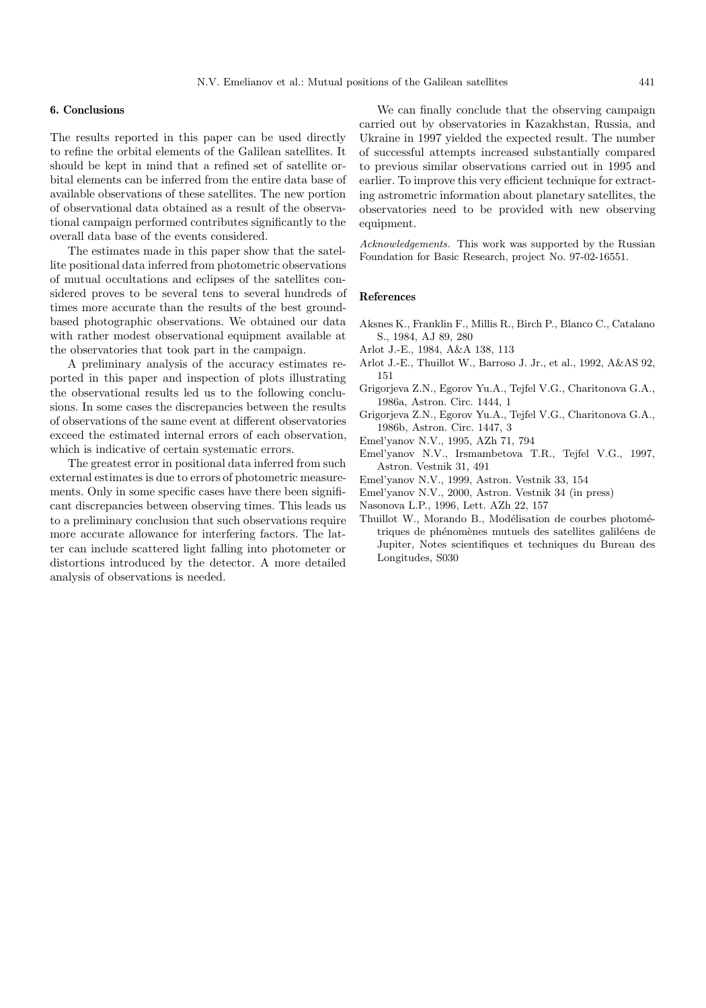#### **6. Conclusions**

The results reported in this paper can be used directly to refine the orbital elements of the Galilean satellites. It should be kept in mind that a refined set of satellite orbital elements can be inferred from the entire data base of available observations of these satellites. The new portion of observational data obtained as a result of the observational campaign performed contributes significantly to the overall data base of the events considered.

The estimates made in this paper show that the satellite positional data inferred from photometric observations of mutual occultations and eclipses of the satellites considered proves to be several tens to several hundreds of times more accurate than the results of the best groundbased photographic observations. We obtained our data with rather modest observational equipment available at the observatories that took part in the campaign.

A preliminary analysis of the accuracy estimates reported in this paper and inspection of plots illustrating the observational results led us to the following conclusions. In some cases the discrepancies between the results of observations of the same event at different observatories exceed the estimated internal errors of each observation, which is indicative of certain systematic errors.

The greatest error in positional data inferred from such external estimates is due to errors of photometric measurements. Only in some specific cases have there been significant discrepancies between observing times. This leads us to a preliminary conclusion that such observations require more accurate allowance for interfering factors. The latter can include scattered light falling into photometer or distortions introduced by the detector. A more detailed analysis of observations is needed.

We can finally conclude that the observing campaign carried out by observatories in Kazakhstan, Russia, and Ukraine in 1997 yielded the expected result. The number of successful attempts increased substantially compared to previous similar observations carried out in 1995 and earlier. To improve this very efficient technique for extracting astrometric information about planetary satellites, the observatories need to be provided with new observing equipment.

Acknowledgements. This work was supported by the Russian Foundation for Basic Research, project No. 97-02-16551.

## **References**

- Aksnes K., Franklin F., Millis R., Birch P., Blanco C., Catalano S., 1984, AJ 89, 280
- Arlot J.-E., 1984, A&A 138, 113
- Arlot J.-E., Thuillot W., Barroso J. Jr., et al., 1992, A&AS 92, 151
- Grigorjeva Z.N., Egorov Yu.A., Tejfel V.G., Charitonova G.A., 1986a, Astron. Circ. 1444, 1
- Grigorjeva Z.N., Egorov Yu.A., Tejfel V.G., Charitonova G.A., 1986b, Astron. Circ. 1447, 3
- Emel'yanov N.V., 1995, AZh 71, 794
- Emel'yanov N.V., Irsmambetova T.R., Tejfel V.G., 1997, Astron. Vestnik 31, 491
- Emel'yanov N.V., 1999, Astron. Vestnik 33, 154
- Emel'yanov N.V., 2000, Astron. Vestnik 34 (in press)
- Nasonova L.P., 1996, Lett. AZh 22, 157
- Thuillot W., Morando B., Modélisation de courbes photométriques de phénomènes mutuels des satellites galiléens de Jupiter, Notes scientifiques et techniques du Bureau des Longitudes, S030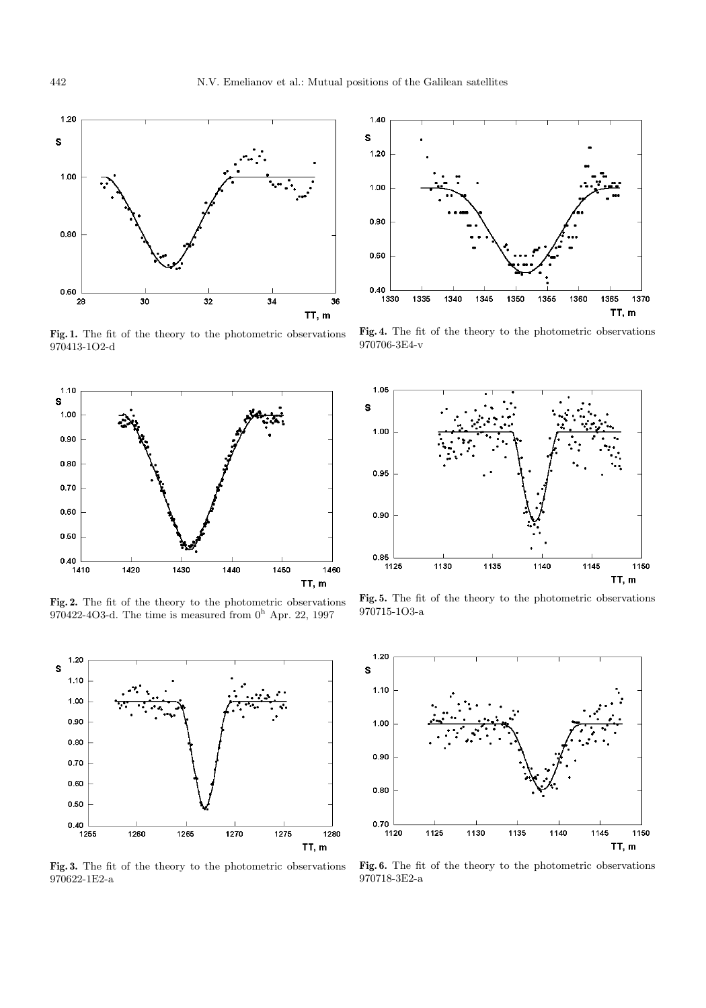

**Fig. 1.** The fit of the theory to the photometric observations 970413-1O2-d



**Fig. 2.** The fit of the theory to the photometric observations 970422-4O3-d. The time is measured from  $0<sup>h</sup>$  Apr. 22, 1997



**Fig. 3.** The fit of the theory to the photometric observations 970622-1E2-a



**Fig. 4.** The fit of the theory to the photometric observations 970706-3E4-v



**Fig. 5.** The fit of the theory to the photometric observations 970715-1O3-a



**Fig. 6.** The fit of the theory to the photometric observations 970718-3E2-a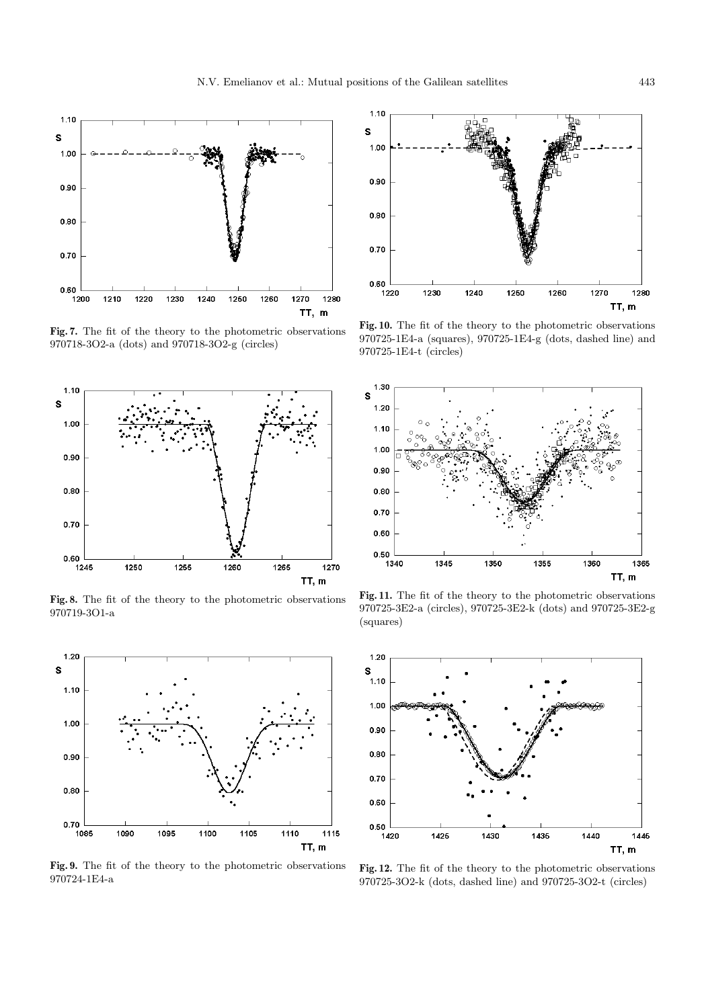

**Fig. 7.** The fit of the theory to the photometric observations 970718-3O2-a (dots) and 970718-3O2-g (circles)



**Fig. 8.** The fit of the theory to the photometric observations 970719-3O1-a



**Fig. 9.** The fit of the theory to the photometric observations 970724-1E4-a



**Fig. 10.** The fit of the theory to the photometric observations 970725-1E4-a (squares), 970725-1E4-g (dots, dashed line) and 970725-1E4-t (circles)



**Fig. 11.** The fit of the theory to the photometric observations 970725-3E2-a (circles), 970725-3E2-k (dots) and 970725-3E2-g (squares)



**Fig. 12.** The fit of the theory to the photometric observations 970725-3O2-k (dots, dashed line) and 970725-3O2-t (circles)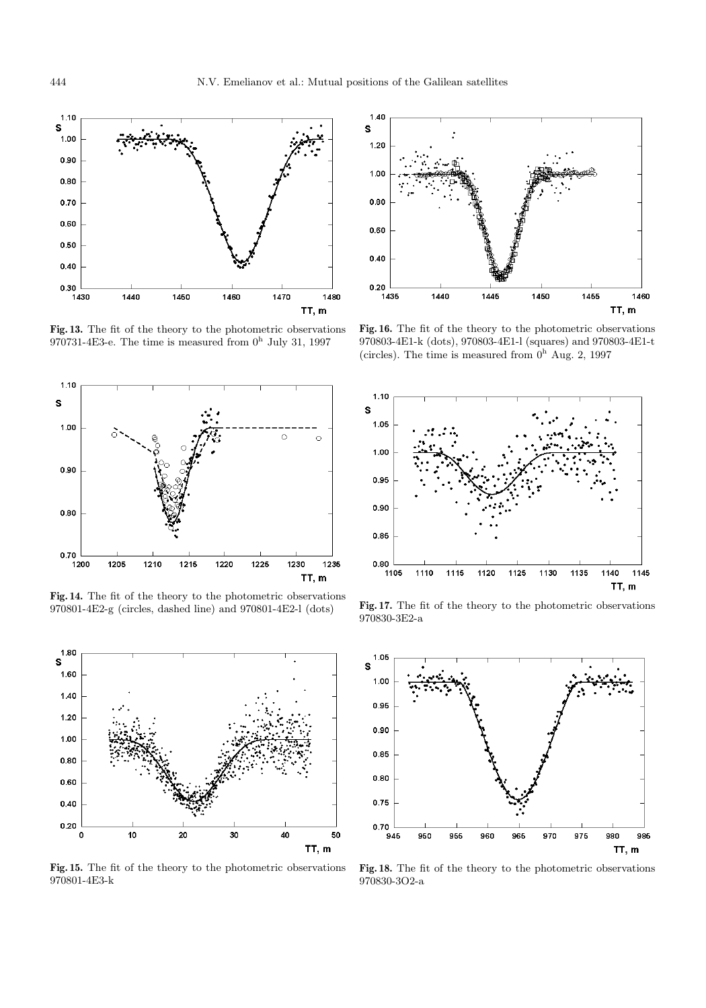

**Fig. 13.** The fit of the theory to the photometric observations 970731-4E3-e. The time is measured from  $0<sup>h</sup>$  July 31, 1997



**Fig. 14.** The fit of the theory to the photometric observations 970801-4E2-g (circles, dashed line) and 970801-4E2-l (dots)



**Fig. 15.** The fit of the theory to the photometric observations 970801-4E3-k



**Fig. 16.** The fit of the theory to the photometric observations 970803-4E1-k (dots), 970803-4E1-l (squares) and 970803-4E1-t (circles). The time is measured from  $0<sup>h</sup>$  Aug. 2, 1997



**Fig. 17.** The fit of the theory to the photometric observations 970830-3E2-a



**Fig. 18.** The fit of the theory to the photometric observations 970830-3O2-a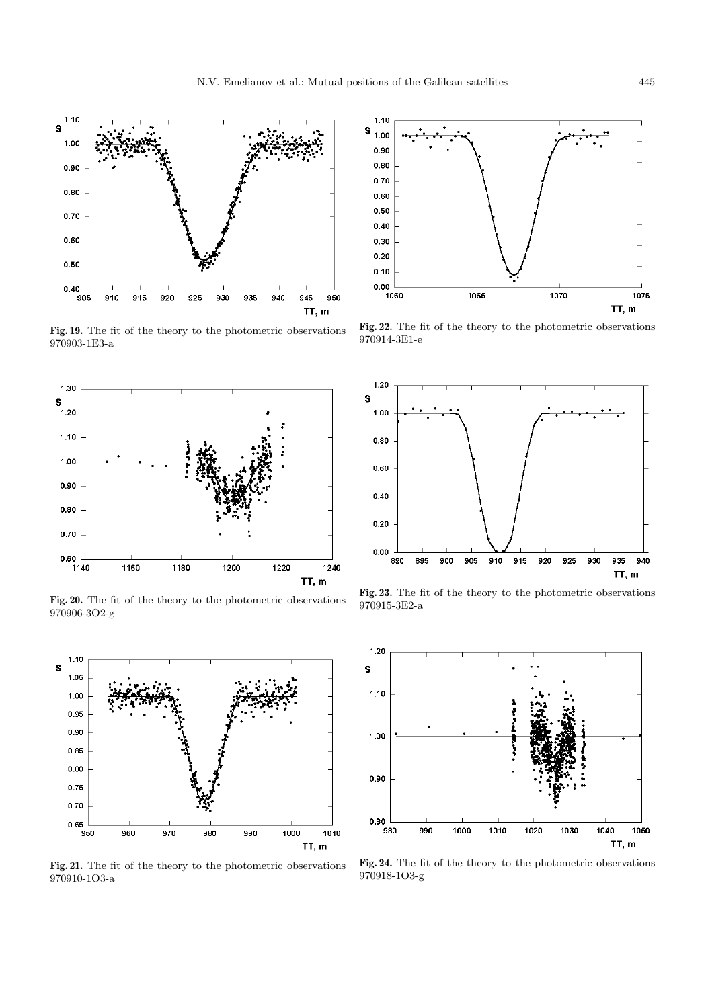

925

930

935

940

945

TT, m

950

 $1.10$ s

 $1.00$ 

0.90

 $0.80$ 

0.70

0.60

 $0.50$ 

 $0.40$ 

905

910

915

920



**Fig. 20.** The fit of the theory to the photometric observations 970906-3O2-g



**Fig. 21.** The fit of the theory to the photometric observations 970910-1O3-a



**Fig. 22.** The fit of the theory to the photometric observations 970914-3E1-e



**Fig. 23.** The fit of the theory to the photometric observations 970915-3E2-a



**Fig. 24.** The fit of the theory to the photometric observations 970918-1O3-g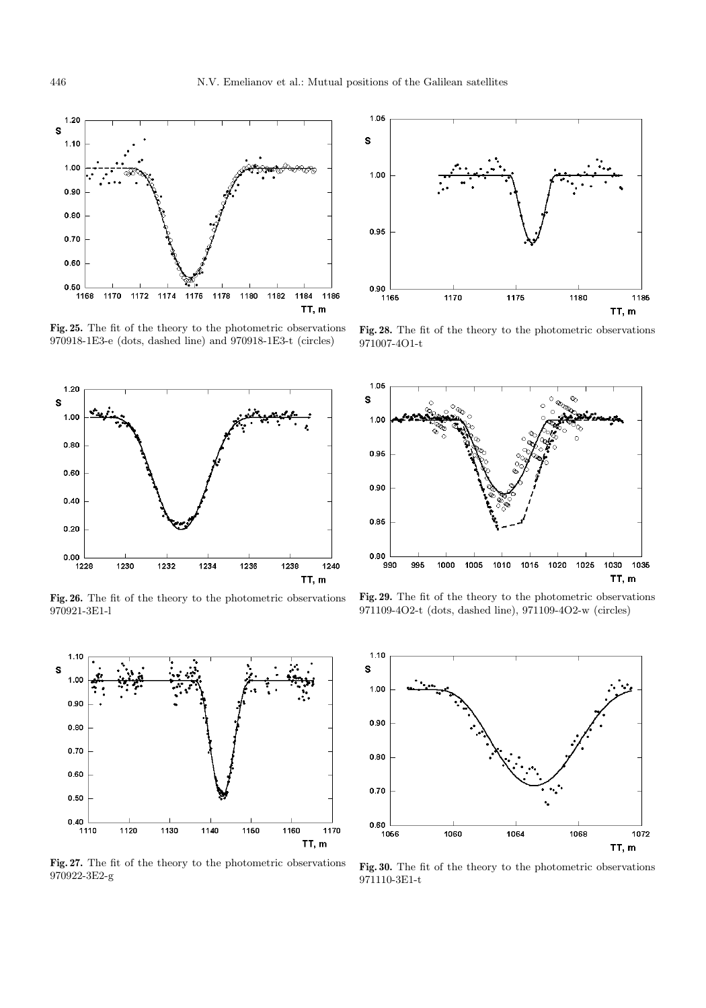

**Fig. 25.** The fit of the theory to the photometric observations 970918-1E3-e (dots, dashed line) and 970918-1E3-t (circles)



**Fig. 26.** The fit of the theory to the photometric observations 970921-3E1-l



**Fig. 27.** The fit of the theory to the photometric observations 970922-3E2-g



**Fig. 28.** The fit of the theory to the photometric observations 971007-4O1-t



**Fig. 29.** The fit of the theory to the photometric observations 971109-4O2-t (dots, dashed line), 971109-4O2-w (circles)



**Fig. 30.** The fit of the theory to the photometric observations 971110-3E1-t

 $1.20$ s